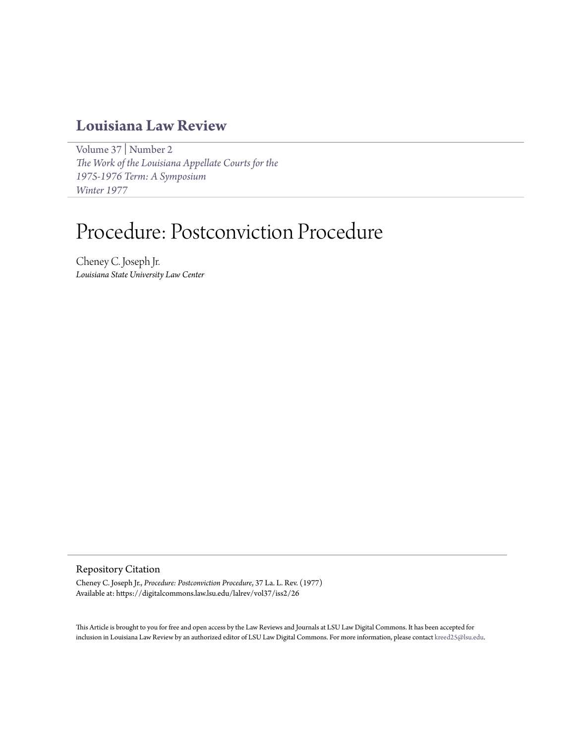# **[Louisiana Law Review](https://digitalcommons.law.lsu.edu/lalrev)**

[Volume 37](https://digitalcommons.law.lsu.edu/lalrev/vol37) | [Number 2](https://digitalcommons.law.lsu.edu/lalrev/vol37/iss2) *[The Work of the Louisiana Appellate Courts for the](https://digitalcommons.law.lsu.edu/lalrev/vol37/iss2) [1975-1976 Term: A Symposium](https://digitalcommons.law.lsu.edu/lalrev/vol37/iss2) [Winter 1977](https://digitalcommons.law.lsu.edu/lalrev/vol37/iss2)*

# Procedure: Postconviction Procedure

Cheney C. Joseph Jr. *Louisiana State University Law Center*

# Repository Citation

Cheney C. Joseph Jr., *Procedure: Postconviction Procedure*, 37 La. L. Rev. (1977) Available at: https://digitalcommons.law.lsu.edu/lalrev/vol37/iss2/26

This Article is brought to you for free and open access by the Law Reviews and Journals at LSU Law Digital Commons. It has been accepted for inclusion in Louisiana Law Review by an authorized editor of LSU Law Digital Commons. For more information, please contact [kreed25@lsu.edu](mailto:kreed25@lsu.edu).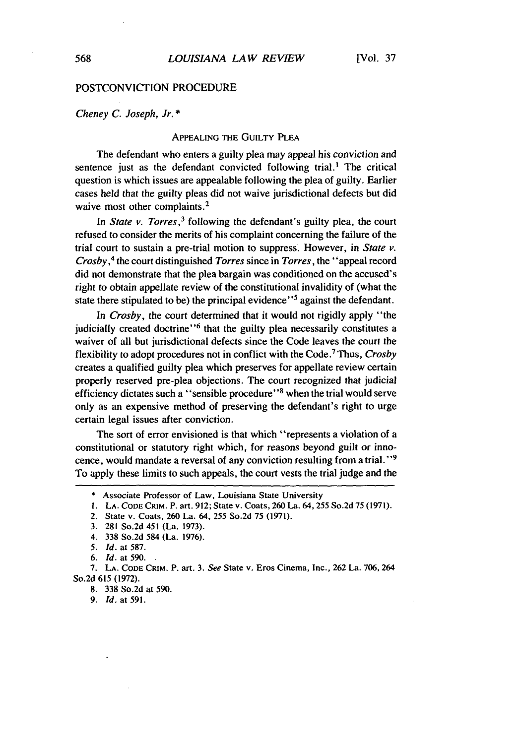### POSTCONVICTION PROCEDURE

Cheney *C. Joseph, Jr. \**

#### APPEALING THE GUILTY PLEA

The defendant who enters a guilty plea may appeal his conviction and sentence just as the defendant convicted following trial.' The critical question is which issues are appealable following the plea of guilty. Earlier cases held that the guilty pleas did not waive jurisdictional defects but did waive most other complaints.<sup>2</sup>

In *State v. Torres*,<sup>3</sup> following the defendant's guilty plea, the court refused to consider the merits of his complaint concerning the failure of the trial court to sustain a pre-trial motion to suppress. However, in *State v. Crosby,'* the court distinguished *Torres* since in *Torres,* the "appeal record did not demonstrate that the plea bargain was conditioned on the accused's right to obtain appellate review of the constitutional invalidity of (what the state there stipulated to be) the principal evidence"<sup>5</sup> against the defendant.

In *Crosby,* the court determined that it would not rigidly apply "the judicially created doctrine"<sup>6</sup> that the guilty plea necessarily constitutes a waiver of all but jurisdictional defects since the Code leaves the court the flexibility to adopt procedures not in conflict with the Code.7 Thus, *Crosby* creates a qualified guilty plea which preserves for appellate review certain properly reserved pre-plea objections. The court recognized that judicial efficiency dictates such a "sensible procedure" **8** when the trial would serve only as an expensive method of preserving the defendant's right to urge certain legal issues after conviction.

The sort of error envisioned is that which "represents a violation of a constitutional or statutory right which, for reasons beyond guilt or innocence, would mandate a reversal of any conviction resulting from a trial.<sup>"9</sup> To apply these limits to such appeals, the court vests the trial judge and the

**9.** *Id.* at **591.**

**<sup>\*</sup>** Associate Professor of Law, Louisiana State University

**I. LA. CODE CRIM.** P. art. 912; State v. Coats, 260 La. 64, 255 So.2d 75 **(1971).**

<sup>2.</sup> State v. Coats, 260 La. 64, 255 So.2d 75 (1971).

<sup>3. 281</sup> So.2d 451 (La. 1973).

<sup>4.</sup> **338** So.2d 584 (La. 1976).

*<sup>5.</sup> Id.* at 587.

*<sup>6.</sup> Id.* at 590.

**<sup>7.</sup> LA. CODE** CRIM. P. art. **3.** *See* State v. Eros Cinema, Inc., **262** La. 706, **264** So.2d **615 (1972).**

<sup>8.</sup> **338** So.2d at 590.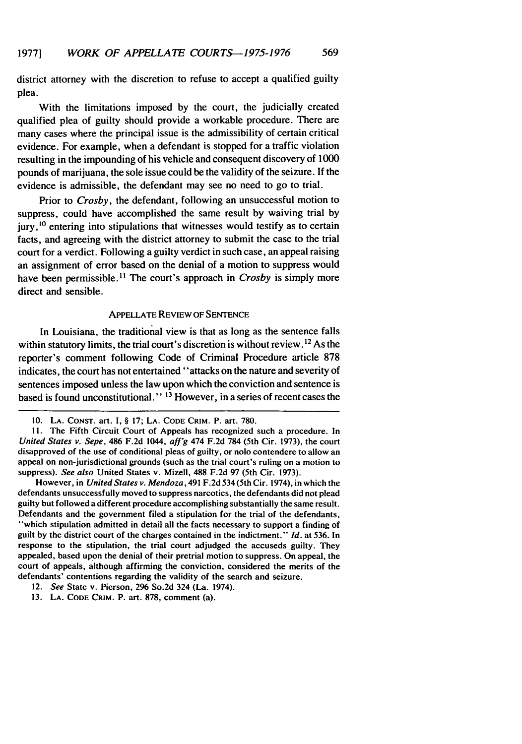district attorney with the discretion to refuse to accept a qualified guilty plea.

With the limitations imposed by the court, the judicially created qualified plea of guilty should provide a workable procedure. There are many cases where the principal issue is the admissibility of certain critical evidence. For example, when a defendant is stopped for a traffic violation resulting in the impounding of his vehicle and consequent discovery of 1000 pounds of marijuana, the sole issue could be the validity of the seizure. If the evidence is admissible, the defendant may see no need to go to trial.

Prior to *Crosby,* the defendant, following an unsuccessful motion to suppress, could have accomplished the same result by waiving trial by  $j$ ury,  $^{10}$  entering into stipulations that witnesses would testify as to certain facts, and agreeing with the district attorney to submit the case to the trial court for a verdict. Following a guilty verdict in such case, an appeal raising an assignment of error based on the denial of a motion to suppress would have been permissible.<sup>11</sup> The court's approach in *Crosby* is simply more direct and sensible.

# APPELLATE REVIEW OF SENTENCE

In Louisiana, the traditional view is that as long as the sentence falls within statutory limits, the trial court's discretion is without review.<sup>12</sup> As the reporter's comment following Code of Criminal Procedure article 878 indicates, the court has not entertained "attacks on the nature and severity of sentences imposed unless the law upon which the conviction and sentence is based is found unconstitutional." 13 However, in a series of recent cases the

However, in *United States v. Mendoza,* 491 F.2d 534 (5th Cir. 1974), in which the defendants unsuccessfully moved to suppress narcotics, the defendants did not plead guilty but followed a different procedure accomplishing substantially the same result. Defendants and the government filed a stipulation for the trial of the defendants, "which stipulation admitted in detail all the facts necessary to support a finding of guilt by the district court of the charges contained in the indictment." *Id.* at 536. In response to the stipulation, the trial court adjudged the accuseds guilty. They appealed, based upon the denial of their pretrial motion to suppress. On appeal, the court of appeals, although affirming the conviction, considered the merits of the defendants' contentions regarding the validity of the search and seizure.

<sup>10.</sup> **LA.** CONsT. art. **1,** § **17; LA. CODE** CRIM. P. art. 780.

Ii. The Fifth Circuit Court of Appeals has recognized such a procedure. In *United States v. Sepe,* 486 F.2d 1044, aff'g 474 F.2d 784 (5th Cir. 1973), the court disapproved of the use of conditional pleas of guilty, or nolo contendere to allow an appeal on non-jurisdictional grounds (such as the trial court's ruling on a motion to suppress). *See also* United States v. Mizell, **488** F.2d 97 (5th Cir. 1973).

<sup>12.</sup> *See* State v. Pierson, 2% So.2d 324 (La. 1974).

<sup>13.</sup> **LA. CODE CRIM.** P. art. 878, comment (a).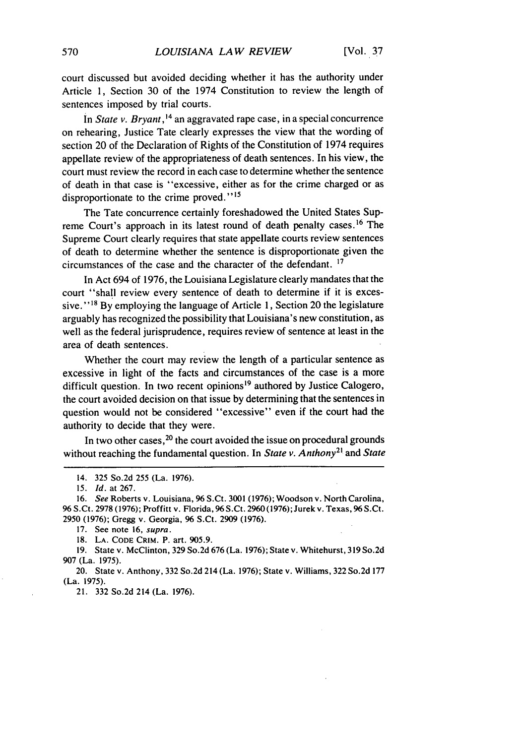court discussed but avoided deciding whether it has the authority under Article **1,** Section 30 of the 1974 Constitution to review the length of sentences imposed by trial courts.

In *State v. Bryant*,<sup>14</sup> an aggravated rape case, in a special concurrence on rehearing, Justice Tate clearly expresses the view that the wording of section 20 of the Declaration of Rights of the Constitution of 1974 requires appellate review of the appropriateness of death sentences. In his view, the court must review the record in each case to determine whether the sentence of death in that case is "excessive, either as for the crime charged or as disproportionate to the crime proved."<sup>15</sup>

The Tate concurrence certainly foreshadowed the United States Supreme Court's approach in its latest round of death penalty cases. 16 The Supreme Court clearly requires that state appellate courts review sentences of death to determine whether the sentence is disproportionate given the circumstances of the case and the character of the defendant. 17

In Act 694 of 1976, the Louisiana Legislature clearly mandates that the court "shall review every sentence of death to determine if it is excessive."<sup>18</sup> By employing the language of Article 1, Section 20 the legislature arguably has recognized the possibility that Louisiana's new constitution, as well as the federal jurisprudence, requires review of sentence at least in the area of death sentences.

Whether the court may review the length of a particular sentence as excessive in light of the facts and circumstances of the case is a more difficult question. In two recent opinions<sup>19</sup> authored by Justice Calogero, the court avoided decision on that issue by determining that the sentences in question would not be considered "excessive" even if the court had the authority to decide that they were.

In two other cases,<sup>20</sup> the court avoided the issue on procedural grounds without reaching the fundamental question. In *State v. Anthony <sup>2</sup> '* and *State*

17. See note 16, supra.

18. **LA. CODE** CRIM. P. art. 905.9.

19. State v. McClinton, 329 So.2d 676 (La. 1976); State v. Whitehurst, 319 So.2d 907 (La. 1975).

20. State v. Anthony, 332 So.2d 214 (La. 1976); State v. Williams, 322 So.2d 177 (La. 1975).

21. 332 So.2d 214 (La. 1976).

<sup>14. 325</sup> So.2d 255 (La. 1976).

<sup>15.</sup> *Id.* at 267.

<sup>16.</sup> *See* Roberts v. Louisiana, 96 S.Ct. 3001 (1976); Woodson v. North Carolina, 96 S.Ct. 2978 (1976); Proffitt v. Florida, 96 S.Ct. 2960 (1976); Jurek v. Texas, 96 S.Ct. 2950 (1976); Gregg v. Georgia, 96 S.Ct. 2909 (1976).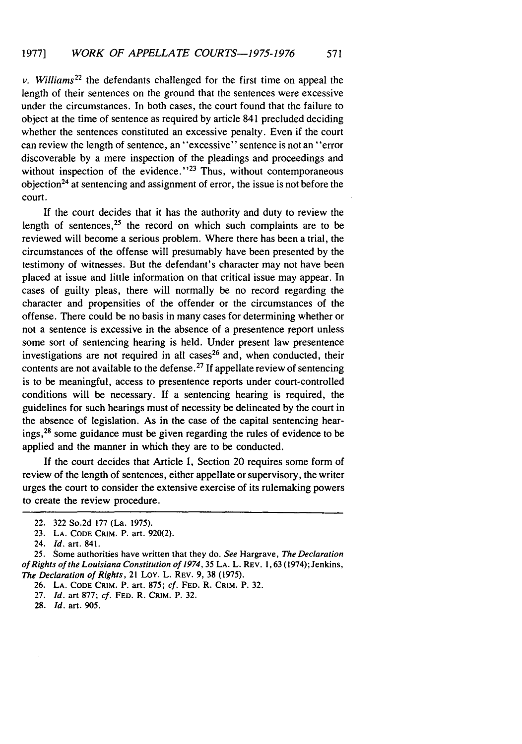v. *Williams22* the defendants challenged for the first time on appeal the length of their sentences on the ground that the sentences were excessive under the circumstances. In both cases, the court found that the failure to object at the time of sentence as required by article 841 precluded deciding whether the sentences constituted an excessive penalty. Even if the court can review the length of sentence, an "excessive" sentence is not an "error discoverable by a mere inspection of the pleadings and proceedings and without inspection of the evidence." $2<sup>3</sup>$  Thus, without contemporaneous objection 24 at sentencing and assignment of error, the issue is not before the court.

If the court decides that it has the authority and duty to review the length of sentences, $25$  the record on which such complaints are to be reviewed will become a serious problem. Where there has been a trial, the circumstances of the offense will presumably have been presented by the testimony of witnesses. But the defendant's character may not have been placed at issue and little information on that critical issue may appear. In cases of guilty pleas, there will normally be no record regarding the character and propensities of the offender or the circumstances of the offense. There could be no basis in many cases for determining whether or not a sentence is excessive in the absence of a presentence report unless some sort of sentencing hearing is held. Under present law presentence investigations are not required in all cases<sup>26</sup> and, when conducted, their contents are not available to the defense. 27 If appellate review of sentencing is to be meaningful, access to presentence reports under court-controlled conditions will be necessary. If a sentencing hearing is required, the guidelines for such hearings must of necessity be delineated by the court in the absence of legislation. As in the case of the capital sentencing hear- ings, $2<sup>8</sup>$  some guidance must be given regarding the rules of evidence to be applied and the manner in which they are to be conducted.

If the court decides that Article I, Section 20 requires some form of review of the length of sentences, either appellate or supervisory, the writer urges the court to consider the extensive exercise of its rulemaking powers to create the review procedure.

<sup>22. 322</sup> So.2d 177 (La. 1975).

<sup>23.</sup> **LA. CODE** CRIM. P. art. 920(2).

<sup>24.</sup> Id. art. 841.

<sup>25.</sup> Some authorities have written that they do. See Hargrave, The Declaration *of* Rights of the Louisiana Constitution of *1974,* 35 LA. L. REV. 1,63 (1974); Jenkins, The Declaration of Rights, 21 LoY. L. REV. 9, 38 (1975).

<sup>26.</sup> **LA. CODE CRIM.** P. art. 875; cf. **FED.** R. CRIM. P. 32.

<sup>27.</sup> *Id.* art 877; cf. **FED.** R. CRIM. P. 32.

<sup>28.</sup> *Id.* art. 905.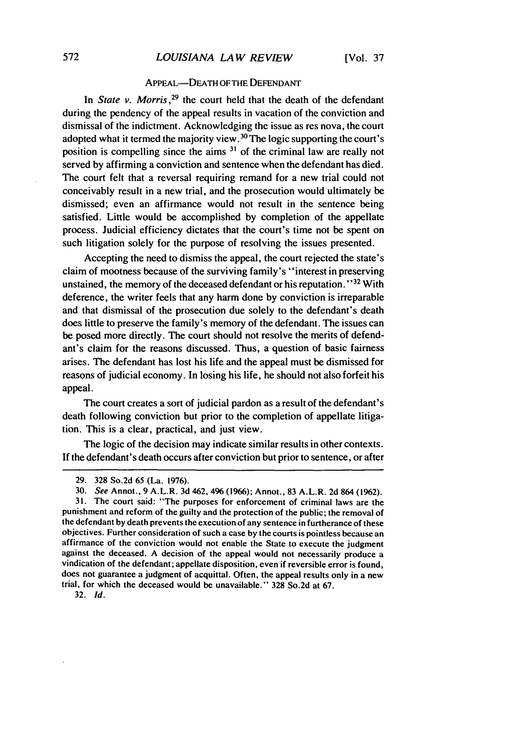# APPEAL-DEATH OF THE DEFENDANT

In *State v. Morris*<sup>29</sup>, the court held that the death of the defendant during the pendency of the appeal results in vacation of the conviction and dismissal of the indictment. Acknowledging the issue as res nova, the court adopted what it termed the majority view.<sup>30</sup> The logic supporting the court's position is compelling since the aims **31** of the criminal law are really not served by affirming a conviction and sentence when the defendant has died. The court felt that a reversal requiring remand for a new trial could not conceivably result in a new trial, and the prosecution would ultimately be dismissed; even an affirmance would not result in the sentence being satisfied. Little would be accomplished by completion of the appellate process. Judicial efficiency dictates that the court's time not be spent on such litigation solely for the purpose of resolving the issues presented.

Accepting the need to dismiss the appeal, the court rejected the state's claim of mootness because of the surviving family's "interest in preserving unstained, the memory of the deceased defendant or his reputation.<sup>'32</sup> With deference, the writer feels that any harm done by conviction is irreparable and that dismissal of the prosecution due solely to the defendant's death does little to preserve the family's memory of the defendant. The issues can be posed more directly. The court should not resolve the merits of defendant's claim for the reasons discussed. Thus, a question of basic fairness arises. The defendant has lost his life and the appeal must be dismissed for reasons of judicial economy. In losing his life, he should not also forfeit his appeal.

The court creates a sort of judicial pardon as a result of the defendant's death following conviction but prior to the completion of appellate litigation. This is a clear, practical, and just view.

The logic of the decision may indicate similar results in other contexts. If the defendant's death occurs after conviction but prior to sentence, or after

32. *Id.*

<sup>29. 328</sup> So.2d 65 (La. 1976).

<sup>30.</sup> *See* Annot., 9 A.L.R. 3d 462, 496 (1966); Annot., 83 A.L.R. 2d 864 (1962).

<sup>31.</sup> The court said: "The purposes for enforcement of criminal laws are the punishment and reform of the guilty and the protection of the public; the removal of the defendant by death prevents the execution of any sentence in furtherance of these objectives. Further consideration of such a case by the courts is pointless because an affirmance of the conviction would not enable the State to execute the judgment against the deceased. A decision of the appeal would not necessarily produce a vindication of the defendant; appellate disposition, even if reversible error is found, does not guarantee a judgment of acquittal. Often, the appeal results only in a new trial, for which the deceased would be unavailable." 328 So.2d at 67.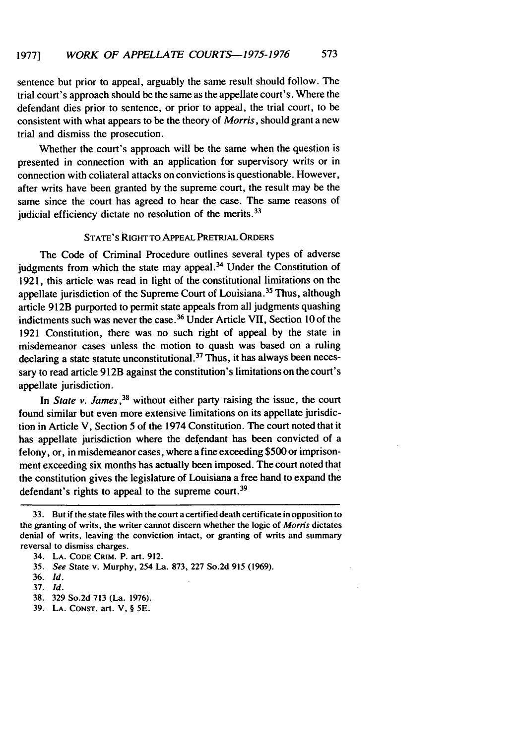sentence but prior to appeal, arguably the same result should follow. The trial court's approach should be the same as the appellate court's. Where the defendant dies prior to sentence, or prior to appeal, the trial court, to be consistent with what appears to be the theory of *Morris,* should grant a new trial and dismiss the prosecution.

Whether the court's approach will be the same when the question is presented in connection with an application for supervisory writs or in connection with collateral attacks on convictions is questionable. However, after writs have been granted by the supreme court, the result may be the same since the court has agreed to hear the case. The same reasons of judicial efficiency dictate no resolution of the merits.<sup>33</sup>

# STATE'S RIGHT To APPEAL PRETRIAL ORDERS

The Code of Criminal Procedure outlines several types of adverse judgments from which the state may appeal. $34$  Under the Constitution of 1921, this article was read in light of the constitutional limitations on the appellate jurisdiction of the Supreme Court of Louisiana. 35 Thus, although article 912B purported to permit state appeals from all judgments quashing indictments such was never the case. 36 Under Article VII, Section 10 of the 1921 Constitution, there was no such right of appeal by the state in misdemeanor cases unless the motion to quash was based on a ruling declaring a state statute unconstitutional **. <sup>3</sup>**Thus, it has always been necessary to read article 912B against the constitution's limitations on the court's appellate jurisdiction.

In *State v. James*,<sup>38</sup> without either party raising the issue, the court found similar but even more extensive limitations on its appellate jurisdiction in Article V, Section 5 of the 1974 Constitution. The court noted that it has appellate jurisdiction where the defendant has been convicted of a felony, or, in misdemeanor cases, where a fine exceeding \$500 or imprisonment exceeding six months has actually been imposed. The court noted that the constitution gives the legislature of Louisiana a free hand to expand the defendant's rights to appeal to the supreme court.<sup>39</sup>

<sup>33.</sup> But if the state files with the court a certified death certificate in opposition to the granting of writs, the writer cannot discern whether the logic of *Moms* dictates denial of writs, leaving the conviction intact, or granting of writs and summary reversal to dismiss charges.

<sup>34.</sup> **LA. CODE CRIM.** P. art. 912.

<sup>35.</sup> *See* State v. Murphy, 254 La. 873, 227 So.2d 915 (1969).

<sup>36.</sup> *Id.*

<sup>37.</sup> *Id.*

<sup>38. 329</sup> So.2d 713 (La. 1976).

<sup>39.</sup> **LA. CONsT.** art. V, § **5E.**